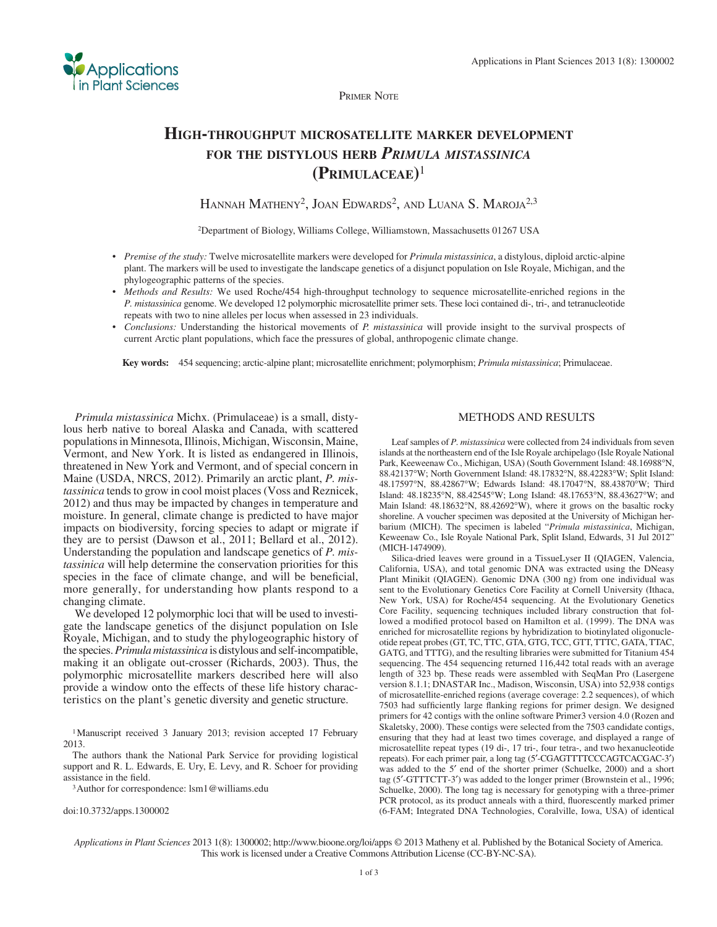



## **HIGH-THROUGHPUT MICROSATELLITE MARKER DEVELOPMENT FOR THE DISTYLOUS HERB** *PRIMULA MISTASSINICA*  **(PRIMULACEAE)** <sup>1</sup>

HANNAH MATHENY<sup>2</sup>, JOAN EDWARDS<sup>2</sup>, AND LUANA S. MAROJA<sup>2,3</sup>

2 Department of Biology, Williams College, Williamstown, Massachusetts 01267 USA

- *Premise of the study:* Twelve microsatellite markers were developed for *Primula mistassinica* , a distylous, diploid arctic-alpine plant. The markers will be used to investigate the landscape genetics of a disjunct population on Isle Royale, Michigan, and the phylogeographic patterns of the species.
- *Methods and Results:* We used Roche/454 high-throughput technology to sequence microsatellite-enriched regions in the *P. mistassinica* genome. We developed 12 polymorphic microsatellite primer sets. These loci contained di-, tri-, and tetranucleotide repeats with two to nine alleles per locus when assessed in 23 individuals.
- *Conclusions:* Understanding the historical movements of *P. mistassinica* will provide insight to the survival prospects of current Arctic plant populations, which face the pressures of global, anthropogenic climate change.

 **Key words:** 454 sequencing; arctic-alpine plant; microsatellite enrichment; polymorphism; *Primula mistassinica* ; Primulaceae.

*Primula mistassinica* Michx. (Primulaceae) is a small, distylous herb native to boreal Alaska and Canada, with scattered populations in Minnesota, Illinois, Michigan, Wisconsin, Maine, Vermont, and New York. It is listed as endangered in Illinois, threatened in New York and Vermont, and of special concern in Maine (USDA, NRCS, 2012). Primarily an arctic plant, *P. mistassinica* tends to grow in cool moist places (Voss and Reznicek, 2012 ) and thus may be impacted by changes in temperature and moisture. In general, climate change is predicted to have major impacts on biodiversity, forcing species to adapt or migrate if they are to persist (Dawson et al., 2011; Bellard et al., 2012). Understanding the population and landscape genetics of *P. mistassinica* will help determine the conservation priorities for this species in the face of climate change, and will be beneficial, more generally, for understanding how plants respond to a changing climate.

We developed 12 polymorphic loci that will be used to investigate the landscape genetics of the disjunct population on Isle Royale, Michigan, and to study the phylogeographic history of the species. *Primula mistassinica* is distylous and self-incompatible, making it an obligate out-crosser (Richards, 2003). Thus, the polymorphic microsatellite markers described here will also provide a window onto the effects of these life history characteristics on the plant's genetic diversity and genetic structure.

<sup>1</sup> Manuscript received 3 January 2013; revision accepted 17 February 2013.

 The authors thank the National Park Service for providing logistical support and R. L. Edwards, E. Ury, E. Levy, and R. Schoer for providing assistance in the field.<br> $3$ Author for correspondence: lsm1@williams.edu

doi:10.3732/apps.1300002

## METHODS AND RESULTS

 Leaf samples of *P. mistassinica* were collected from 24 individuals from seven islands at the northeastern end of the Isle Royale archipelago (Isle Royale National Park, Keeweenaw Co., Michigan, USA) (South Government Island: 48.16988°N, 88.42137°W; North Government Island: 48.17832°N, 88.42283°W; Split Island: 48.17597°N, 88.42867°W; Edwards Island: 48.17047°N, 88.43870°W; Third Island: 48.18235°N, 88.42545°W; Long Island: 48.17653°N, 88.43627°W; and Main Island:  $48.18632^{\circ}N$ ,  $88.42692^{\circ}W$ ), where it grows on the basaltic rocky shoreline. A voucher specimen was deposited at the University of Michigan herbarium (MICH). The specimen is labeled "*Primula mistassinica*, Michigan, Keweenaw Co., Isle Royale National Park, Split Island, Edwards, 31 Jul 2012" (MICH-1474909).

 Silica-dried leaves were ground in a TissueLyser II (QIAGEN, Valencia, California, USA), and total genomic DNA was extracted using the DNeasy Plant Minikit (QIAGEN). Genomic DNA (300 ng) from one individual was sent to the Evolutionary Genetics Core Facility at Cornell University (Ithaca, New York, USA) for Roche/454 sequencing. At the Evolutionary Genetics Core Facility, sequencing techniques included library construction that followed a modified protocol based on Hamilton et al. (1999). The DNA was enriched for microsatellite regions by hybridization to biotinylated oligonucleotide repeat probes (GT, TC, TTC, GTA, GTG, TCC, GTT, TTTC, GATA, TTAC, GATG, and TTTG), and the resulting libraries were submitted for Titanium 454 sequencing. The 454 sequencing returned 116,442 total reads with an average length of 323 bp. These reads were assembled with SeqMan Pro (Lasergene version 8.1.1; DNASTAR Inc., Madison, Wisconsin, USA) into 52,938 contigs of microsatellite-enriched regions (average coverage: 2.2 sequences), of which 7503 had sufficiently large flanking regions for primer design. We designed primers for 42 contigs with the online software Primer3 version 4.0 (Rozen and Skaletsky, 2000). These contigs were selected from the 7503 candidate contigs, ensuring that they had at least two times coverage, and displayed a range of microsatellite repeat types (19 di-, 17 tri-, four tetra-, and two hexanucleotide repeats). For each primer pair, a long tag (5'-CGAGTTTTCCCAGTCACGAC-3') was added to the 5' end of the shorter primer (Schuelke, 2000) and a short tag (5'-GTTTCTT-3') was added to the longer primer (Brownstein et al., 1996; Schuelke, 2000). The long tag is necessary for genotyping with a three-primer PCR protocol, as its product anneals with a third, fluorescently marked primer (6-FAM; Integrated DNA Technologies, Coralville, Iowa, USA) of identical

*Applications in Plant Sciences* 2013 1(8): 1300002; http://www.bioone.org/loi/apps © 2013 Matheny et al. Published by the Botanical Society of America. This work is licensed under a Creative Commons Attribution License (CC-BY-NC-SA).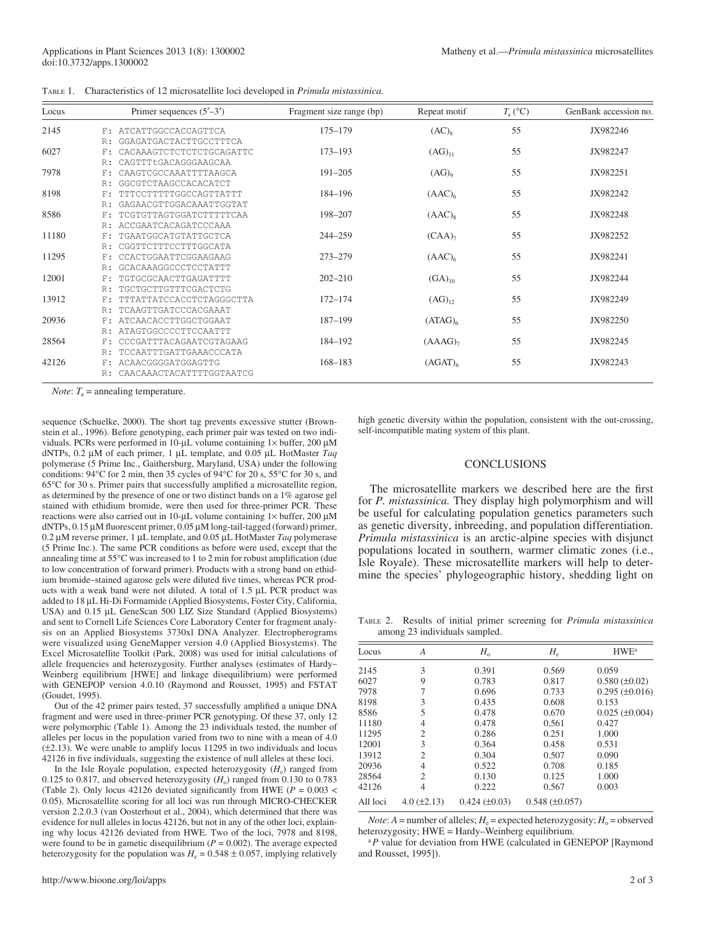|  |  |  |  | TABLE 1. Characteristics of 12 microsatellite loci developed in <i>Primula mistassinica</i> . |
|--|--|--|--|-----------------------------------------------------------------------------------------------|
|--|--|--|--|-----------------------------------------------------------------------------------------------|

| Locus |       | Primer sequences $(5'–3')$ | Fragment size range (bp) | Repeat motif        | $T_{\rm a}$ (°C) | GenBank accession no. |
|-------|-------|----------------------------|--------------------------|---------------------|------------------|-----------------------|
| 2145  |       | F: ATCATTGGCCACCAGTTCA     | $175 - 179$              | $(AC)_8$            | 55               | JX982246              |
|       | R:    | GGAGATGACTACTTGCCTTTCA     |                          |                     |                  |                       |
| 6027  | $F$ : | CACAAAGTCTCTCTCTGCAGATTC   | $173 - 193$              | $(AG)_{11}$         | 55               | JX982247              |
|       | R:    | CAGTTTtGACAGGGAAGCAA       |                          |                     |                  |                       |
| 7978  | F.    | CAAGTCGCCAAATTTTAAGCA      | $191 - 205$              | $(AG)_{9}$          | 55               | JX982251              |
|       | R:    | GGCGTCTAAGCCACACATCT       |                          |                     |                  |                       |
| 8198  | F:    | TTTCCTTTTTGGCCAGTTATTT     | 184-196                  | (AAC) <sub>6</sub>  | 55               | JX982242              |
|       | R:    | GAGAACGTTGGACAAATTGGTAT    |                          |                     |                  |                       |
| 8586  | F:    | TCGTGTTAGTGGATCTTTTTCAA    | 198-207                  | $(AAC)_8$           | 55               | JX982248              |
|       | R:    | ACCGAATCACAGATCCCAAA       |                          |                     |                  |                       |
| 11180 | F:    | TGAATGGCATGTATTGCTCA       | $244 - 259$              | $(CAA)_{7}$         | 55               | JX982252              |
|       | R:    | CGGTTCTTTCCTTTGGCATA       |                          |                     |                  |                       |
| 11295 | F:    | CCACTGGAATTCGGAAGAAG       | 273-279                  | (AAC) <sub>6</sub>  | 55               | JX982241              |
|       | R:    | GCACAAAGGCCCTCCTATTT       |                          |                     |                  |                       |
| 12001 | F:    | TGTGCGCAACTTGAGATTTT       | $202 - 210$              | $(GA)_{10}$         | 55               | JX982244              |
|       | R:    | TGCTGCTTGTTTCGACTCTG       |                          |                     |                  |                       |
| 13912 | F:    | TTTATTATCCACCTCTAGGGCTTA   | $172 - 174$              | $(AG)_{12}$         | 55               | JX982249              |
|       | R:    | TCAAGTTGATCCCACGAAAT       |                          |                     |                  |                       |
| 20936 | F:    | ATCAACACCTTGGCTGGAAT       | 187-199                  | (ATAG) <sub>6</sub> | 55               | JX982250              |
|       | R:    | ATAGTGGCCCCTTCCAATTT       |                          |                     |                  |                       |
| 28564 | F:    | CCCGATTTACAGAATCGTAGAAG    | 184-192                  | (AAAG) <sub>7</sub> | 55               | JX982245              |
|       | R:    | TCCAATTTGATTGAAACCCATA     |                          |                     |                  |                       |
| 42126 | F:    | ACAACGGGGATGGAGTTG         | 168-183                  | (AGAT) <sub>6</sub> | 55               | JX982243              |
|       | R:    | CAACAAACTACATTTTGGTAATCG   |                          |                     |                  |                       |

*Note*:  $T_a$  = annealing temperature.

sequence (Schuelke, 2000). The short tag prevents excessive stutter (Brownstein et al., 1996). Before genotyping, each primer pair was tested on two individuals. PCRs were performed in 10- $\mu$ L volume containing 1 $\times$  buffer, 200  $\mu$ M dNTPs, 0.2 μM of each primer, 1 μL template, and 0.05 μL HotMaster *Taq* polymerase (5 Prime Inc., Gaithersburg, Maryland, USA) under the following conditions:  $94^{\circ}$ C for 2 min, then 35 cycles of  $94^{\circ}$ C for 20 s,  $55^{\circ}$ C for 30 s, and  $65^{\circ}$ C for 30 s. Primer pairs that successfully amplified a microsatellite region, as determined by the presence of one or two distinct bands on a 1% agarose gel stained with ethidium bromide, were then used for three-primer PCR. These reactions were also carried out in 10- $\mu$ L volume containing 1 $\times$  buffer, 200  $\mu$ M dNTPs, 0.15 μM fluorescent primer, 0.05 μM long-tail-tagged (forward) primer, 0.2 μM reverse primer, 1 μL template, and 0.05 μL HotMaster *Taq* polymerase (5 Prime Inc.). The same PCR conditions as before were used, except that the annealing time at  $55^{\circ}$ C was increased to 1 to 2 min for robust amplification (due to low concentration of forward primer). Products with a strong band on ethidium bromide–stained agarose gels were diluted five times, whereas PCR products with a weak band were not diluted. A total of 1.5 μL PCR product was added to 18 μL Hi-Di Formamide (Applied Biosystems, Foster City, California, USA) and 0.15 μL GeneScan 500 LIZ Size Standard (Applied Biosystems) and sent to Cornell Life Sciences Core Laboratory Center for fragment analysis on an Applied Biosystems 3730xl DNA Analyzer. Electropherograms were visualized using GeneMapper version 4.0 (Applied Biosystems). The Excel Microsatellite Toolkit (Park, 2008) was used for initial calculations of allele frequencies and heterozygosity. Further analyses (estimates of Hardy– Weinberg equilibrium [HWE] and linkage disequilibrium) were performed with GENEPOP version 4.0.10 (Raymond and Rousset, 1995) and FSTAT (Goudet, 1995).

Out of the 42 primer pairs tested, 37 successfully amplified a unique DNA fragment and were used in three-primer PCR genotyping. Of these 37, only 12 were polymorphic (Table 1). Among the 23 individuals tested, the number of alleles per locus in the population varied from two to nine with a mean of 4.0  $(\pm 2.13)$ . We were unable to amplify locus 11295 in two individuals and locus 42126 in five individuals, suggesting the existence of null alleles at these loci.

In the Isle Royale population, expected heterozygosity  $(H_e)$  ranged from 0.125 to 0.817, and observed heterozygosity  $(H_0)$  ranged from 0.130 to 0.783 (Table 2). Only locus 42126 deviated significantly from HWE ( $P = 0.003$  < 0.05). Microsatellite scoring for all loci was run through MICRO-CHECKER version 2.2.0.3 (van Oosterhout et al., 2004), which determined that there was evidence for null alleles in locus 42126, but not in any of the other loci, explaining why locus 42126 deviated from HWE. Two of the loci, 7978 and 8198, were found to be in gametic disequilibrium ( $P = 0.002$ ). The average expected heterozygosity for the population was  $H_e = 0.548 \pm 0.057$ , implying relatively

high genetic diversity within the population, consistent with the out-crossing, self-incompatible mating system of this plant.

## **CONCLUSIONS**

The microsatellite markers we described here are the first for *P. mistassinica.* They display high polymorphism and will be useful for calculating population genetics parameters such as genetic diversity, inbreeding, and population differentiation. *Primula mistassinica* is an arctic-alpine species with disjunct populations located in southern, warmer climatic zones (i.e., Isle Royale). These microsatellite markers will help to determine the species' phylogeographic history, shedding light on

 TABLE 2. Results of initial primer screening for *Primula mistassinica* among 23 individuals sampled.

| Locus    | A                | $H_{\rm o}$        | $H_{\rm e}$         | <b>HWE</b> <sup>a</sup> |
|----------|------------------|--------------------|---------------------|-------------------------|
| 2145     | 3                | 0.391              | 0.569               | 0.059                   |
| 6027     | 9                | 0.783              | 0.817               | $0.580 (\pm 0.02)$      |
| 7978     |                  | 0.696              | 0.733               | $0.295 (\pm 0.016)$     |
| 8198     | 3                | 0.435              | 0.608               | 0.153                   |
| 8586     | 5                | 0.478              | 0.670               | $0.025 (\pm 0.004)$     |
| 11180    | 4                | 0.478              | 0.561               | 0.427                   |
| 11295    | $\overline{c}$   | 0.286              | 0.251               | 1.000                   |
| 12001    | 3                | 0.364              | 0.458               | 0.531                   |
| 13912    | $\overline{c}$   | 0.304              | 0.507               | 0.090                   |
| 20936    | 4                | 0.522              | 0.708               | 0.185                   |
| 28564    | $\overline{c}$   | 0.130              | 0.125               | 1.000                   |
| 42126    | 4                | 0.222              | 0.567               | 0.003                   |
| All loci | $4.0 (\pm 2.13)$ | $0.424 (\pm 0.03)$ | $0.548 (\pm 0.057)$ |                         |

*Note*:  $A =$  number of alleles;  $H_e =$  expected heterozygosity;  $H_o =$  observed heterozygosity; HWE = Hardy–Weinberg equilibrium.

<sup>a</sup>P value for deviation from HWE (calculated in GENEPOP [Raymond and Rousset, 1995]).